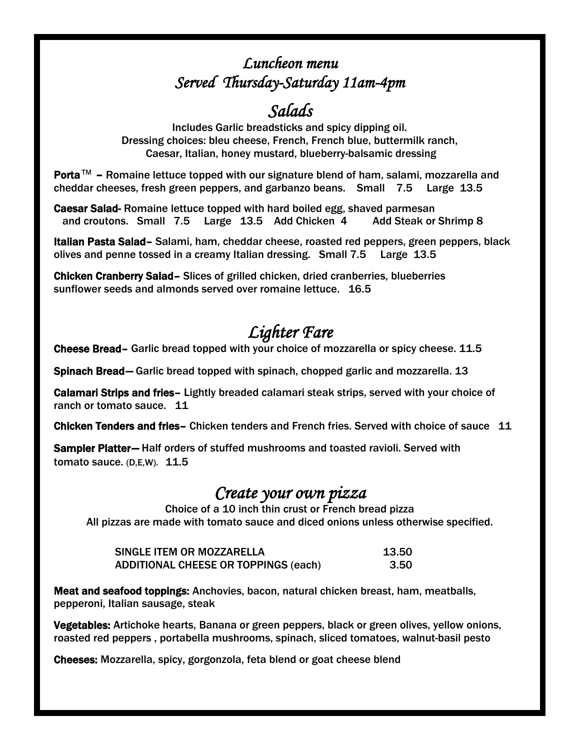#### *Luncheon menu Served Thursday-Saturday 11am-4pm*

## *Salads*

Includes Garlic breadsticks and spicy dipping oil. Dressing choices: bleu cheese, French, French blue, buttermilk ranch, Caesar, Italian, honey mustard, blueberry-balsamic dressing

Porta™ – Romaine lettuce topped with our signature blend of ham, salami, mozzarella and cheddar cheeses, fresh green peppers, and garbanzo beans. Small 7.5 Large 13.5

Caesar Salad- Romaine lettuce topped with hard boiled egg, shaved parmesan and croutons. Small 7.5 Large 13.5 Add Chicken 4 Add Steak or Shrimp 8

Italian Pasta Salad– Salami, ham, cheddar cheese, roasted red peppers, green peppers, black olives and penne tossed in a creamy Italian dressing. Small 7.5 Large 13.5

Chicken Cranberry Salad– Slices of grilled chicken, dried cranberries, blueberries sunflower seeds and almonds served over romaine lettuce. 16.5

## *Lighter Fare*

Cheese Bread– Garlic bread topped with your choice of mozzarella or spicy cheese. 11.5

Spinach Bread*–* Garlic bread topped with spinach, chopped garlic and mozzarella. 13

Calamari Strips and fries– Lightly breaded calamari steak strips, served with your choice of ranch or tomato sauce. 11

Chicken Tenders and fries– Chicken tenders and French fries. Served with choice of sauce 11

Sampler Platter*–* Half orders of stuffed mushrooms and toasted ravioli. Served with tomato sauce. (D,E,W). 11.5

#### *Create your own pizza*

Choice of a 10 inch thin crust or French bread pizza All pizzas are made with tomato sauce and diced onions unless otherwise specified.

| SINGLE ITEM OR MOZZARELLA                   | 13.50 |
|---------------------------------------------|-------|
| <b>ADDITIONAL CHEESE OR TOPPINGS (each)</b> | 3.50  |

Meat and seafood toppings: Anchovies, bacon, natural chicken breast, ham, meatballs, pepperoni, Italian sausage, steak

Vegetables: Artichoke hearts, Banana or green peppers, black or green olives, yellow onions, roasted red peppers , portabella mushrooms, spinach, sliced tomatoes, walnut-basil pesto

Cheeses: Mozzarella, spicy, gorgonzola, feta blend or goat cheese blend